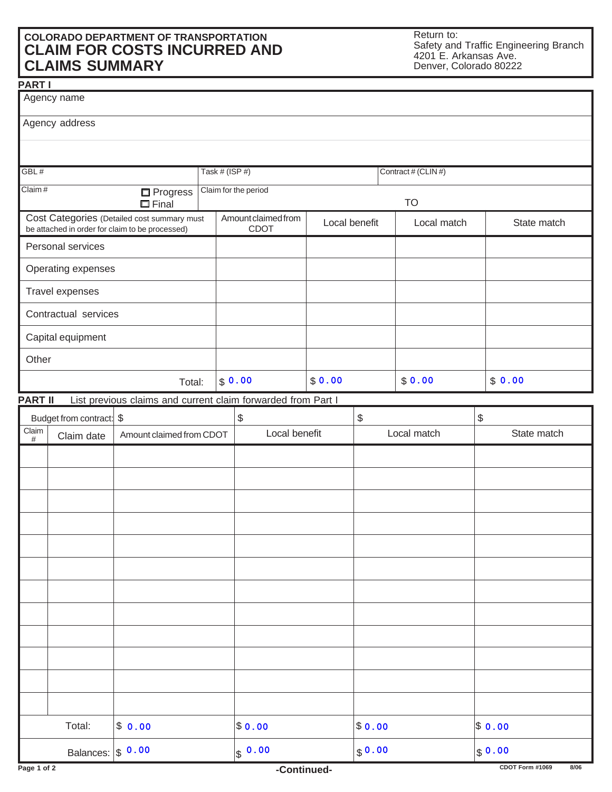## **COLORADO DEPARTMENT OF TRANSPORTATION CLAIM FOR COSTS INCURRED AND CLAIMS SUMMARY**

**PART I**

Return to: Safety and Traffic Engineering Branch 4201 E. Arkansas Ave. Denver, Colorado 80222

|                                                                                                | Agency name              |                                                              |  |                                                     |        |             |                     |                   |
|------------------------------------------------------------------------------------------------|--------------------------|--------------------------------------------------------------|--|-----------------------------------------------------|--------|-------------|---------------------|-------------------|
|                                                                                                | Agency address           |                                                              |  |                                                     |        |             |                     |                   |
|                                                                                                |                          |                                                              |  |                                                     |        |             |                     |                   |
| GBL#<br>Claim#<br>$\Box$ Progress<br>$\square$ Final                                           |                          |                                                              |  | Task # (ISP #)<br>Claim for the period              |        |             | Contract # (CLIN #) |                   |
|                                                                                                |                          |                                                              |  |                                                     |        |             | <b>TO</b>           |                   |
| Cost Categories (Detailed cost summary must<br>be attached in order for claim to be processed) |                          |                                                              |  | Amount claimed from<br>Local benefit<br><b>CDOT</b> |        |             | Local match         | State match       |
|                                                                                                | Personal services        |                                                              |  |                                                     |        |             |                     |                   |
|                                                                                                | Operating expenses       |                                                              |  |                                                     |        |             |                     |                   |
| Travel expenses                                                                                |                          |                                                              |  |                                                     |        |             |                     |                   |
|                                                                                                | Contractual services     |                                                              |  |                                                     |        |             |                     |                   |
|                                                                                                | Capital equipment        |                                                              |  |                                                     |        |             |                     |                   |
| Other                                                                                          |                          |                                                              |  |                                                     |        |             |                     |                   |
| Total:                                                                                         |                          |                                                              |  | \$0.00                                              | \$0.00 |             | \$0.00              | \$0.00            |
| <b>PART II</b>                                                                                 |                          | List previous claims and current claim forwarded from Part I |  |                                                     |        |             |                     |                   |
|                                                                                                | Budget from contract: \$ |                                                              |  | $\$\,$                                              |        | $\$\,$      |                     | \$                |
| Claim<br>#                                                                                     | Claim date               | Amount claimed from CDOT                                     |  | Local benefit                                       |        | Local match |                     | State match       |
|                                                                                                |                          |                                                              |  |                                                     |        |             |                     |                   |
|                                                                                                |                          |                                                              |  |                                                     |        |             |                     |                   |
|                                                                                                |                          |                                                              |  |                                                     |        |             |                     |                   |
|                                                                                                |                          |                                                              |  |                                                     |        |             |                     |                   |
|                                                                                                |                          |                                                              |  |                                                     |        |             |                     |                   |
|                                                                                                |                          |                                                              |  |                                                     |        |             |                     |                   |
|                                                                                                |                          |                                                              |  |                                                     |        |             |                     |                   |
|                                                                                                |                          |                                                              |  |                                                     |        |             |                     |                   |
|                                                                                                |                          |                                                              |  |                                                     |        |             |                     |                   |
|                                                                                                |                          |                                                              |  |                                                     |        |             |                     |                   |
|                                                                                                |                          |                                                              |  |                                                     |        |             |                     |                   |
|                                                                                                |                          |                                                              |  |                                                     |        |             |                     |                   |
| Total:                                                                                         |                          | \$0.00                                                       |  | \$0.00                                              |        | \$0.00      |                     | $\$\,0.\,00$      |
|                                                                                                | Balances:                | \$0.00                                                       |  | \$0.00                                              |        | \$0.00      |                     | $\frac{1}{9}0.00$ |